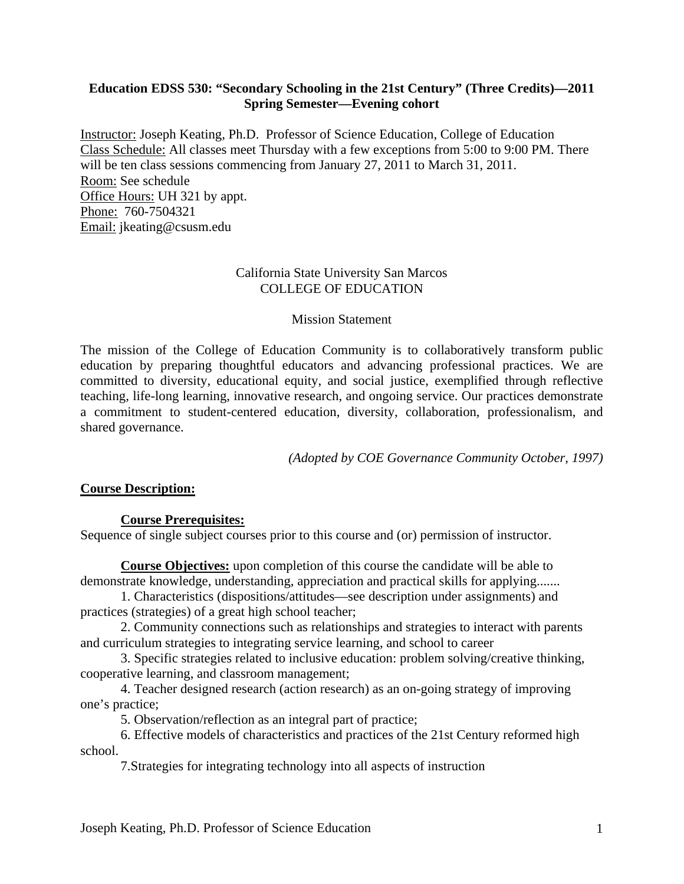#### **Education EDSS 530: "Secondary Schooling in the 21st Century" (Three Credits)—2011 Spring Semester—Evening cohort**

Instructor: Joseph Keating, Ph.D. Professor of Science Education, College of Education Class Schedule: All classes meet Thursday with a few exceptions from 5:00 to 9:00 PM. There will be ten class sessions commencing from January 27, 2011 to March 31, 2011. Room: See schedule Office Hours: UH 321 by appt. Phone: 760-7504321 Email: jkeating@csusm.edu

#### California State University San Marcos COLLEGE OF EDUCATION

#### Mission Statement

The mission of the College of Education Community is to collaboratively transform public education by preparing thoughtful educators and advancing professional practices. We are committed to diversity, educational equity, and social justice, exemplified through reflective teaching, life-long learning, innovative research, and ongoing service. Our practices demonstrate a commitment to student-centered education, diversity, collaboration, professionalism, and shared governance.

*(Adopted by COE Governance Community October, 1997)* 

# **Course Description: Course Prerequisites:**

Sequence of single subject courses prior to this course and (or) permission of instructor.

**Course Objectives:** upon completion of this course the candidate will be able to demonstrate knowledge, understanding, appreciation and practical skills for applying.......

1. Characteristics (dispositions/attitudes—see description under assignments) and practices (strategies) of a great high school teacher;

2. Community connections such as relationships and strategies to interact with parents and curriculum strategies to integrating service learning, and school to career

3. Specific strategies related to inclusive education: problem solving/creative thinking, cooperative learning, and classroom management;

4. Teacher designed research (action research) as an on-going strategy of improving one's practice;

5. Observation/reflection as an integral part of practice;

6. Effective models of characteristics and practices of the 21st Century reformed high school.

7.Strategies for integrating technology into all aspects of instruction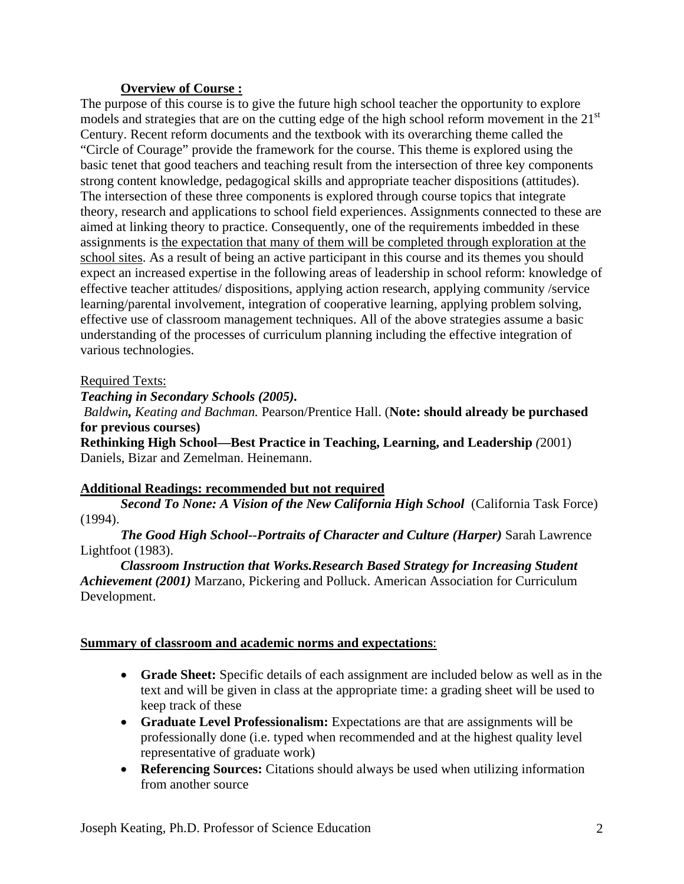#### **Overview of Course :**

The purpose of this course is to give the future high school teacher the opportunity to explore models and strategies that are on the cutting edge of the high school reform movement in the 21<sup>st</sup> Century. Recent reform documents and the textbook with its overarching theme called the "Circle of Courage" provide the framework for the course. This theme is explored using the basic tenet that good teachers and teaching result from the intersection of three key components strong content knowledge, pedagogical skills and appropriate teacher dispositions (attitudes). The intersection of these three components is explored through course topics that integrate theory, research and applications to school field experiences. Assignments connected to these are aimed at linking theory to practice. Consequently, one of the requirements imbedded in these assignments is the expectation that many of them will be completed through exploration at the school sites. As a result of being an active participant in this course and its themes you should expect an increased expertise in the following areas of leadership in school reform: knowledge of effective teacher attitudes/ dispositions, applying action research, applying community /service learning/parental involvement, integration of cooperative learning, applying problem solving, effective use of classroom management techniques. All of the above strategies assume a basic understanding of the processes of curriculum planning including the effective integration of various technologies.

#### Required Texts:

*Teaching in Secondary Schools (2005).* 

*Baldwin, Keating and Bachman.* Pearson/Prentice Hall. (**Note: should already be purchased for previous courses)** 

**Rethinking High School—Best Practice in Teaching, Learning, and Leadership** *(*2001) Daniels, Bizar and Zemelman. Heinemann.

#### **Additional Readings: recommended but not required**

 $(1994)$ . *Second To None: A Vision of the New California High School* (California Task Force)

*The Good High School--Portraits of Character and Culture (Harper)* Sarah Lawrence Lightfoot (1983).

#### *Classroom Instruction that Works.Research Based Strategy for Increasing Student Achievement (2001)* Marzano, Pickering and Polluck. American Association for Curriculum Development.

## **Summary of classroom and academic norms and expectations**:

- **Grade Sheet:** Specific details of each assignment are included below as well as in the text and will be given in class at the appropriate time: a grading sheet will be used to keep track of these
- **Graduate Level Professionalism:** Expectations are that are assignments will be professionally done (i.e. typed when recommended and at the highest quality level representative of graduate work)
- **Referencing Sources:** Citations should always be used when utilizing information from another source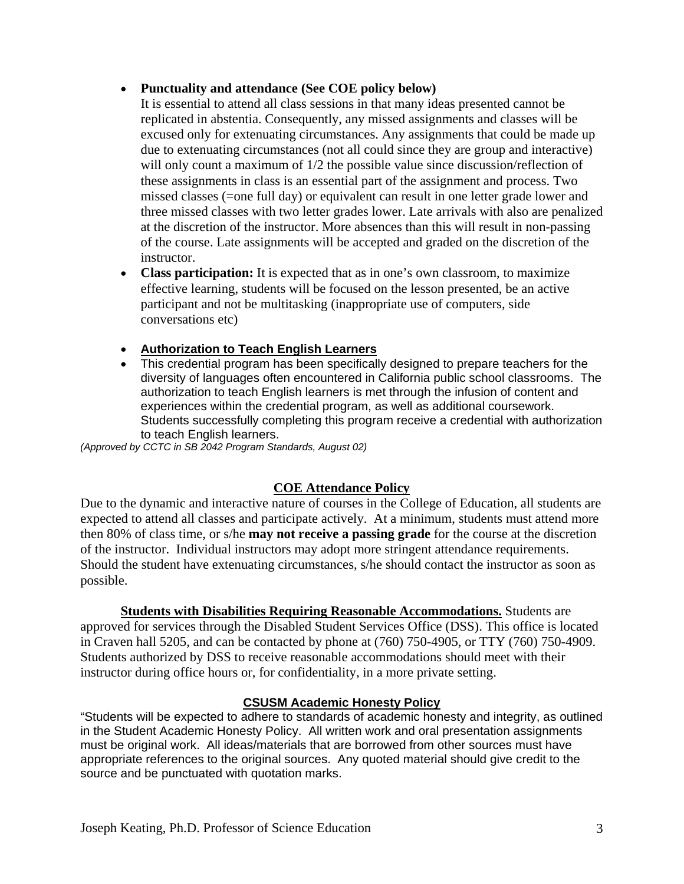#### **Punctuality and attendance (See COE policy below)**

It is essential to attend all class sessions in that many ideas presented cannot be replicated in abstentia. Consequently, any missed assignments and classes will be excused only for extenuating circumstances. Any assignments that could be made up due to extenuating circumstances (not all could since they are group and interactive) will only count a maximum of  $1/2$  the possible value since discussion/reflection of these assignments in class is an essential part of the assignment and process. Two missed classes (=one full day) or equivalent can result in one letter grade lower and three missed classes with two letter grades lower. Late arrivals with also are penalized at the discretion of the instructor. More absences than this will result in non-passing of the course. Late assignments will be accepted and graded on the discretion of the instructor.

- **Class participation:** It is expected that as in one's own classroom, to maximize effective learning, students will be focused on the lesson presented, be an active participant and not be multitasking (inappropriate use of computers, side conversations etc)
- **Authorization to Teach English Learners**
- This credential program has been specifically designed to prepare teachers for the diversity of languages often encountered in California public school classrooms. The authorization to teach English learners is met through the infusion of content and experiences within the credential program, as well as additional coursework. Students successfully completing this program receive a credential with authorization to teach English learners.

*(Approved by CCTC in SB 2042 Program Standards, August 02)* 

#### **COE Attendance Policy**

Due to the dynamic and interactive nature of courses in the College of Education, all students are expected to attend all classes and participate actively. At a minimum, students must attend more then 80% of class time, or s/he **may not receive a passing grade** for the course at the discretion of the instructor. Individual instructors may adopt more stringent attendance requirements. Should the student have extenuating circumstances, s/he should contact the instructor as soon as possible.

**Students with Disabilities Requiring Reasonable Accommodations.** Students are approved for services through the Disabled Student Services Office (DSS). This office is located in Craven hall 5205, and can be contacted by phone at (760) 750-4905, or TTY (760) 750-4909. Students authorized by DSS to receive reasonable accommodations should meet with their instructor during office hours or, for confidentiality, in a more private setting.

#### **CSUSM Academic Honesty Policy**

"Students will be expected to adhere to standards of academic honesty and integrity, as outlined in the Student Academic Honesty Policy. All written work and oral presentation assignments must be original work. All ideas/materials that are borrowed from other sources must have appropriate references to the original sources. Any quoted material should give credit to the source and be punctuated with quotation marks.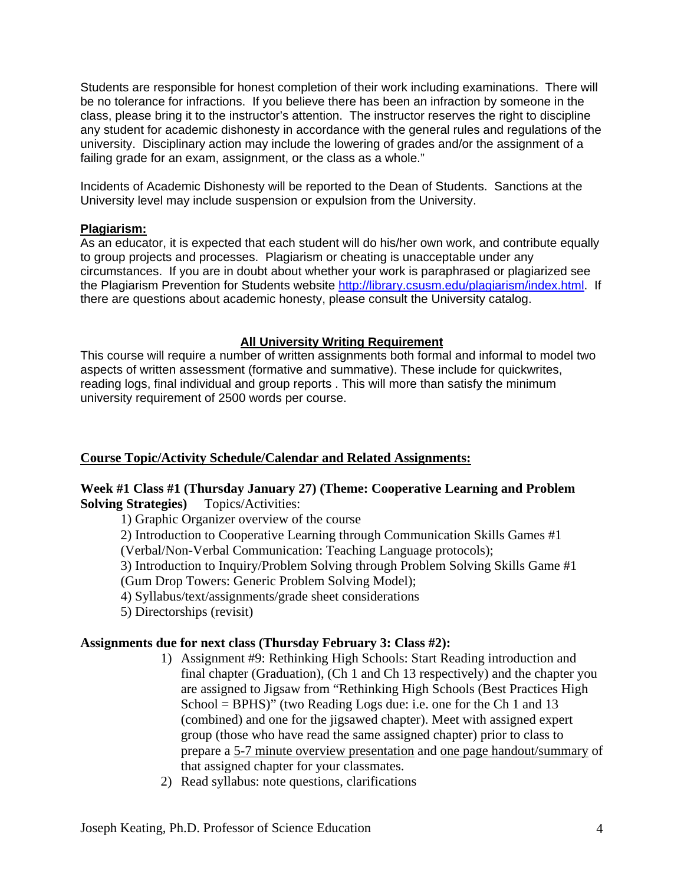Students are responsible for honest completion of their work including examinations. There will be no tolerance for infractions. If you believe there has been an infraction by someone in the class, please bring it to the instructor's attention. The instructor reserves the right to discipline any student for academic dishonesty in accordance with the general rules and regulations of the university. Disciplinary action may include the lowering of grades and/or the assignment of a failing grade for an exam, assignment, or the class as a whole."

Incidents of Academic Dishonesty will be reported to the Dean of Students. Sanctions at the University level may include suspension or expulsion from the University.

#### **Plagiarism:**

As an educator, it is expected that each student will do his/her own work, and contribute equally to group projects and processes. Plagiarism or cheating is unacceptable under any circumstances. If you are in doubt about whether your work is paraphrased or plagiarized see the Plagiarism Prevention for Students website http://library.csusm.edu/plagiarism/index.html. If there are questions about academic honesty, please consult the University catalog.

#### **All University Writing Requirement**

This course will require a number of written assignments both formal and informal to model two aspects of written assessment (formative and summative). These include for quickwrites, reading logs, final individual and group reports . This will more than satisfy the minimum university requirement of 2500 words per course.

#### **Course Topic/Activity Schedule/Calendar and Related Assignments:**

#### **Week #1 Class #1 (Thursday January 27) (Theme: Cooperative Learning and Problem Solving Strategies)** Topics/Activities:

1) Graphic Organizer overview of the course

2) Introduction to Cooperative Learning through Communication Skills Games #1

(Verbal/Non-Verbal Communication: Teaching Language protocols);

3) Introduction to Inquiry/Problem Solving through Problem Solving Skills Game #1 (Gum Drop Towers: Generic Problem Solving Model);

4) Syllabus/text/assignments/grade sheet considerations

5) Directorships (revisit)

#### **Assignments due for next class (Thursday February 3: Class #2):**

- 1) Assignment #9: Rethinking High Schools: Start Reading introduction and final chapter (Graduation), (Ch 1 and Ch 13 respectively) and the chapter you are assigned to Jigsaw from "Rethinking High Schools (Best Practices High School = BPHS)" (two Reading Logs due: i.e. one for the Ch 1 and 13 (combined) and one for the jigsawed chapter). Meet with assigned expert group (those who have read the same assigned chapter) prior to class to prepare a 5-7 minute overview presentation and one page handout/summary of that assigned chapter for your classmates.
- 2) Read syllabus: note questions, clarifications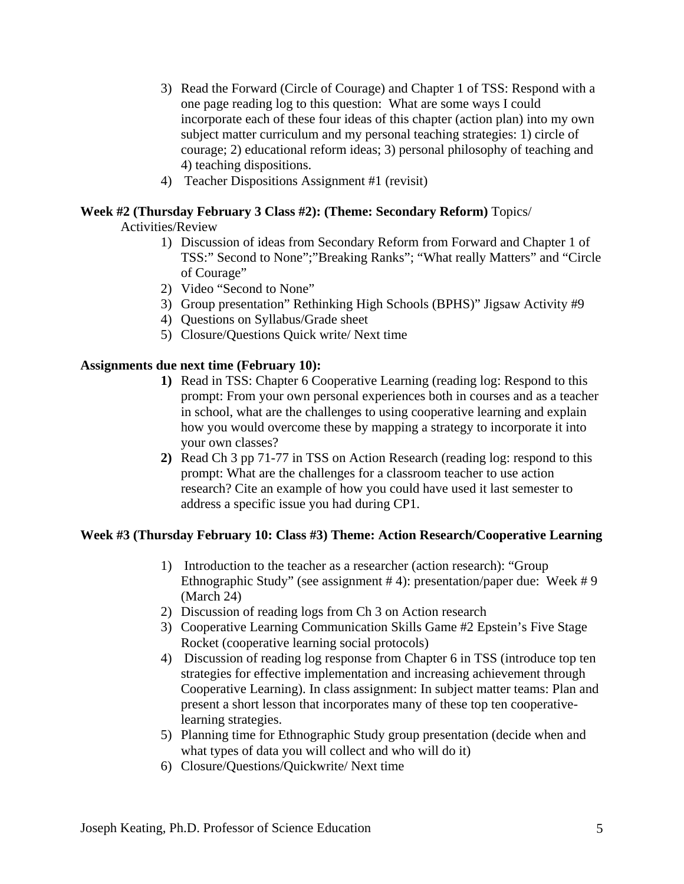- 3) Read the Forward (Circle of Courage) and Chapter 1 of TSS: Respond with a one page reading log to this question: What are some ways I could incorporate each of these four ideas of this chapter (action plan) into my own subject matter curriculum and my personal teaching strategies: 1) circle of courage; 2) educational reform ideas; 3) personal philosophy of teaching and 4) teaching dispositions.
- 4) Teacher Dispositions Assignment #1 (revisit)

#### **Week #2 (Thursday February 3 Class #2): (Theme: Secondary Reform)** Topics/ Activities/Review

- 1) Discussion of ideas from Secondary Reform from Forward and Chapter 1 of TSS:" Second to None";"Breaking Ranks"; "What really Matters" and "Circle of Courage"
- 2) Video "Second to None"
- 3) Group presentation" Rethinking High Schools (BPHS)" Jigsaw Activity #9
- 4) Questions on Syllabus/Grade sheet
- 5) Closure/Questions Quick write/ Next time

#### **Assignments due next time (February 10):**

- **1)** Read in TSS: Chapter 6 Cooperative Learning (reading log: Respond to this prompt: From your own personal experiences both in courses and as a teacher in school, what are the challenges to using cooperative learning and explain how you would overcome these by mapping a strategy to incorporate it into your own classes?
- **2)** Read Ch 3 pp 71-77 in TSS on Action Research (reading log: respond to this prompt: What are the challenges for a classroom teacher to use action research? Cite an example of how you could have used it last semester to address a specific issue you had during CP1.

#### **Week #3 (Thursday February 10: Class #3) Theme: Action Research/Cooperative Learning**

- 1) Introduction to the teacher as a researcher (action research): "Group Ethnographic Study" (see assignment # 4): presentation/paper due: Week # 9 (March 24)
- 2) Discussion of reading logs from Ch 3 on Action research
- 3) Cooperative Learning Communication Skills Game #2 Epstein's Five Stage Rocket (cooperative learning social protocols)
- 4) Discussion of reading log response from Chapter 6 in TSS (introduce top ten strategies for effective implementation and increasing achievement through Cooperative Learning). In class assignment: In subject matter teams: Plan and present a short lesson that incorporates many of these top ten cooperativelearning strategies.
- 5) Planning time for Ethnographic Study group presentation (decide when and what types of data you will collect and who will do it)
- 6) Closure/Questions/Quickwrite/ Next time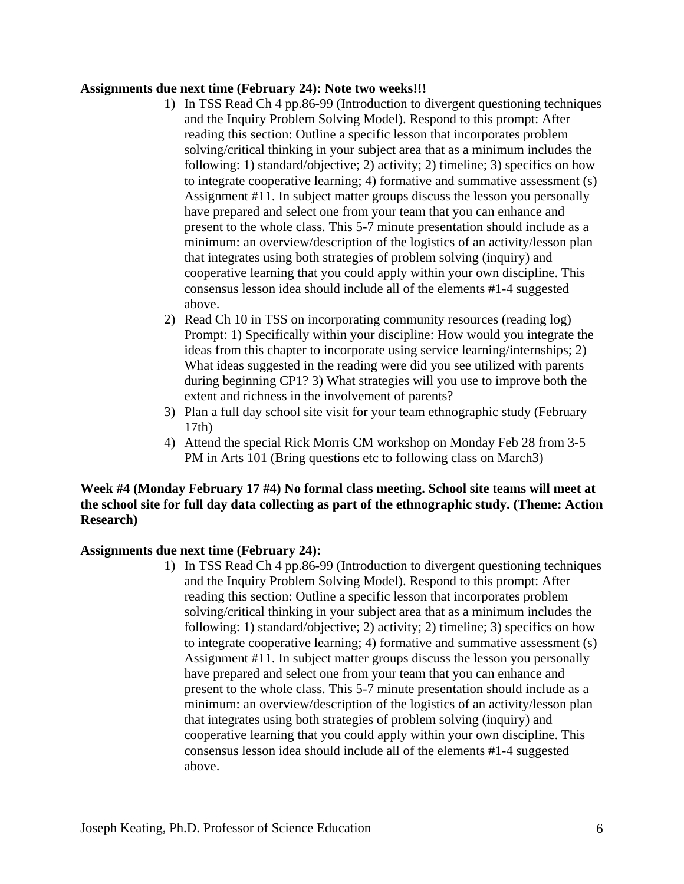#### **Assignments due next time (February 24): Note two weeks!!!**

- 1) In TSS Read Ch 4 pp.86-99 (Introduction to divergent questioning techniques and the Inquiry Problem Solving Model). Respond to this prompt: After reading this section: Outline a specific lesson that incorporates problem solving/critical thinking in your subject area that as a minimum includes the following: 1) standard/objective; 2) activity; 2) timeline; 3) specifics on how to integrate cooperative learning; 4) formative and summative assessment (s) Assignment #11. In subject matter groups discuss the lesson you personally have prepared and select one from your team that you can enhance and present to the whole class. This 5-7 minute presentation should include as a minimum: an overview/description of the logistics of an activity/lesson plan that integrates using both strategies of problem solving (inquiry) and cooperative learning that you could apply within your own discipline. This consensus lesson idea should include all of the elements #1-4 suggested above.
- extent and richness in the involvement of parents? 2) Read Ch 10 in TSS on incorporating community resources (reading log) Prompt: 1) Specifically within your discipline: How would you integrate the ideas from this chapter to incorporate using service learning/internships; 2) What ideas suggested in the reading were did you see utilized with parents during beginning CP1? 3) What strategies will you use to improve both the
- 3) Plan a full day school site visit for your team ethnographic study (February 17th)
- 4) Attend the special Rick Morris CM workshop on Monday Feb 28 from 3-5 PM in Arts 101 (Bring questions etc to following class on March3)

#### **Week #4 (Monday February 17 #4) No formal class meeting. School site teams will meet at the school site for full day data collecting as part of the ethnographic study. (Theme: Action Research)**

#### **Assignments due next time (February 24):**

1) In TSS Read Ch 4 pp.86-99 (Introduction to divergent questioning techniques and the Inquiry Problem Solving Model). Respond to this prompt: After reading this section: Outline a specific lesson that incorporates problem solving/critical thinking in your subject area that as a minimum includes the following: 1) standard/objective; 2) activity; 2) timeline; 3) specifics on how to integrate cooperative learning; 4) formative and summative assessment (s) Assignment #11. In subject matter groups discuss the lesson you personally have prepared and select one from your team that you can enhance and present to the whole class. This 5-7 minute presentation should include as a minimum: an overview/description of the logistics of an activity/lesson plan that integrates using both strategies of problem solving (inquiry) and cooperative learning that you could apply within your own discipline. This consensus lesson idea should include all of the elements #1-4 suggested above.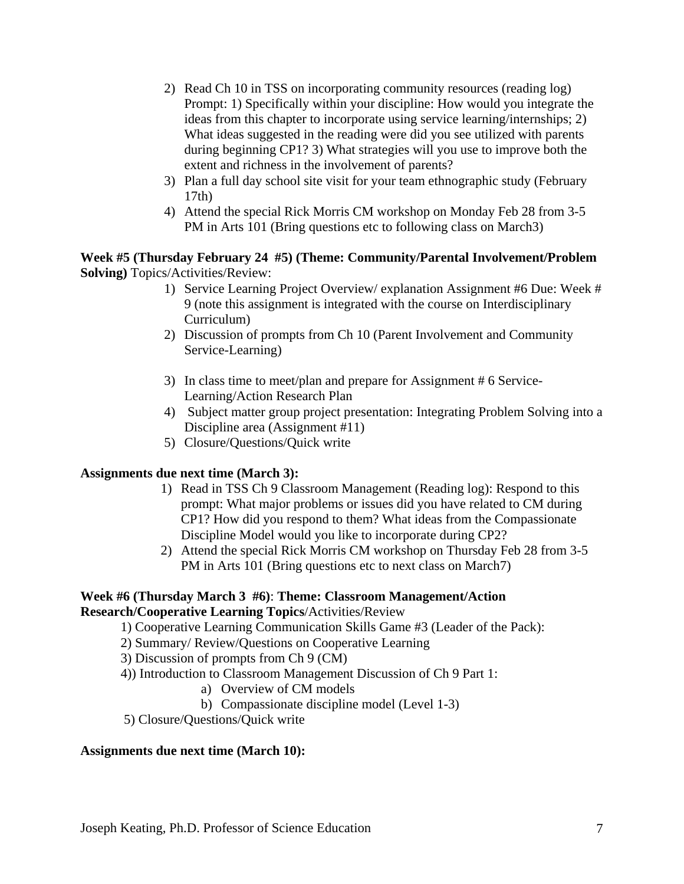- extent and richness in the involvement of parents? 2) Read Ch 10 in TSS on incorporating community resources (reading log) Prompt: 1) Specifically within your discipline: How would you integrate the ideas from this chapter to incorporate using service learning/internships; 2) What ideas suggested in the reading were did you see utilized with parents during beginning CP1? 3) What strategies will you use to improve both the
- 3) Plan a full day school site visit for your team ethnographic study (February 17th)
- 4) Attend the special Rick Morris CM workshop on Monday Feb 28 from 3-5 PM in Arts 101 (Bring questions etc to following class on March3)

#### **Week #5 (Thursday February 24 #5) (Theme: Community/Parental Involvement/Problem Solving)** Topics/Activities/Review:

- 1) Service Learning Project Overview/ explanation Assignment #6 Due: Week # 9 (note this assignment is integrated with the course on Interdisciplinary Curriculum)
- 2) Discussion of prompts from Ch 10 (Parent Involvement and Community Service-Learning)
- 3) In class time to meet/plan and prepare for Assignment # 6 Service-Learning/Action Research Plan
- 4) Subject matter group project presentation: Integrating Problem Solving into a Discipline area (Assignment #11)
- 5) Closure/Questions/Quick write

### **Assignments due next time (March 3):**

- 1) Read in TSS Ch 9 Classroom Management (Reading log): Respond to this prompt: What major problems or issues did you have related to CM during CP1? How did you respond to them? What ideas from the Compassionate Discipline Model would you like to incorporate during CP2?
- 2) Attend the special Rick Morris CM workshop on Thursday Feb 28 from 3-5 PM in Arts 101 (Bring questions etc to next class on March7)

#### **Research/Cooperative Learning Topics/Activities/Review Week #6 (Thursday March 3 #6)**: **Theme: Classroom Management/Action**

1) Cooperative Learning Communication Skills Game #3 (Leader of the Pack):

- 2) Summary/ Review/Questions on Cooperative Learning
- 3) Discussion of prompts from Ch 9 (CM)
- 4)) Introduction to Classroom Management Discussion of Ch 9 Part 1:
	- a) Overview of CM models
	- b) Compassionate discipline model (Level 1-3)
- 5) Closure/Questions/Quick write

#### **Assignments due next time (March 10):**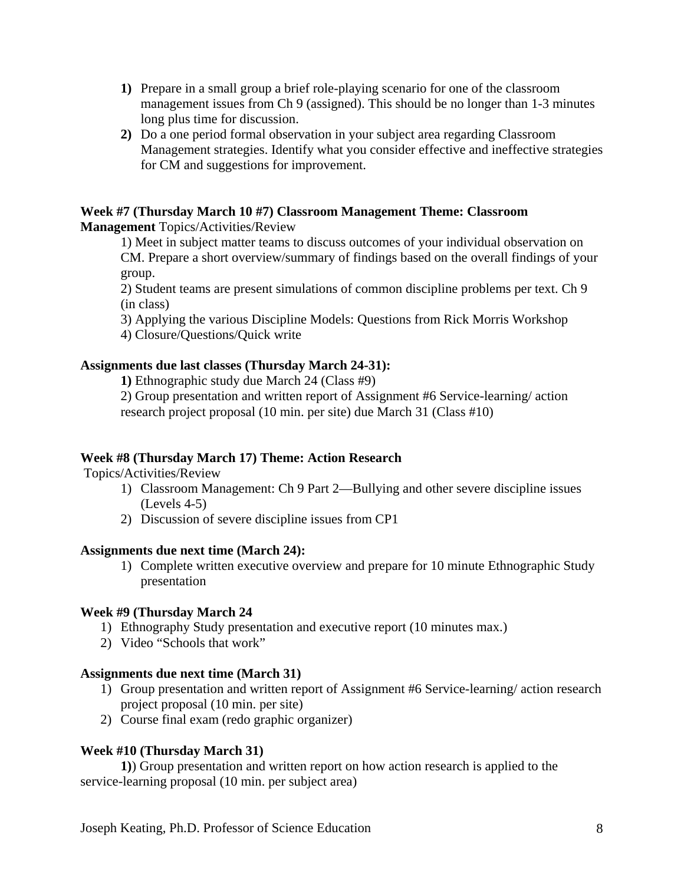- **1)** Prepare in a small group a brief role-playing scenario for one of the classroom management issues from Ch 9 (assigned). This should be no longer than 1-3 minutes long plus time for discussion.
- **2)** Do a one period formal observation in your subject area regarding Classroom Management strategies. Identify what you consider effective and ineffective strategies for CM and suggestions for improvement.

#### **Week #7 (Thursday March 10 #7) Classroom Management Theme: Classroom Management** Topics/Activities/Review

1) Meet in subject matter teams to discuss outcomes of your individual observation on CM. Prepare a short overview/summary of findings based on the overall findings of your group.

2) Student teams are present simulations of common discipline problems per text. Ch 9 (in class)

3) Applying the various Discipline Models: Questions from Rick Morris Workshop 4) Closure/Questions/Quick write

#### **Assignments due last classes (Thursday March 24-31):**

**1)** Ethnographic study due March 24 (Class #9)

2) Group presentation and written report of Assignment #6 Service-learning/ action research project proposal (10 min. per site) due March 31 (Class #10)

#### **Week #8 (Thursday March 17) Theme: Action Research**

Topics/Activities/Review

- 1) Classroom Management: Ch 9 Part 2—Bullying and other severe discipline issues (Levels 4-5)
- 2) Discussion of severe discipline issues from CP1

#### **Assignments due next time (March 24):**

1) Complete written executive overview and prepare for 10 minute Ethnographic Study presentation

#### **Week #9 (Thursday March 24**

- 1) Ethnography Study presentation and executive report (10 minutes max.)
- 2) Video "Schools that work"

#### **Assignments due next time (March 31)**

- 1) Group presentation and written report of Assignment #6 Service-learning/ action research project proposal (10 min. per site)
- 2) Course final exam (redo graphic organizer)

#### **Week #10 (Thursday March 31)**

**1)**) Group presentation and written report on how action research is applied to the service-learning proposal (10 min. per subject area)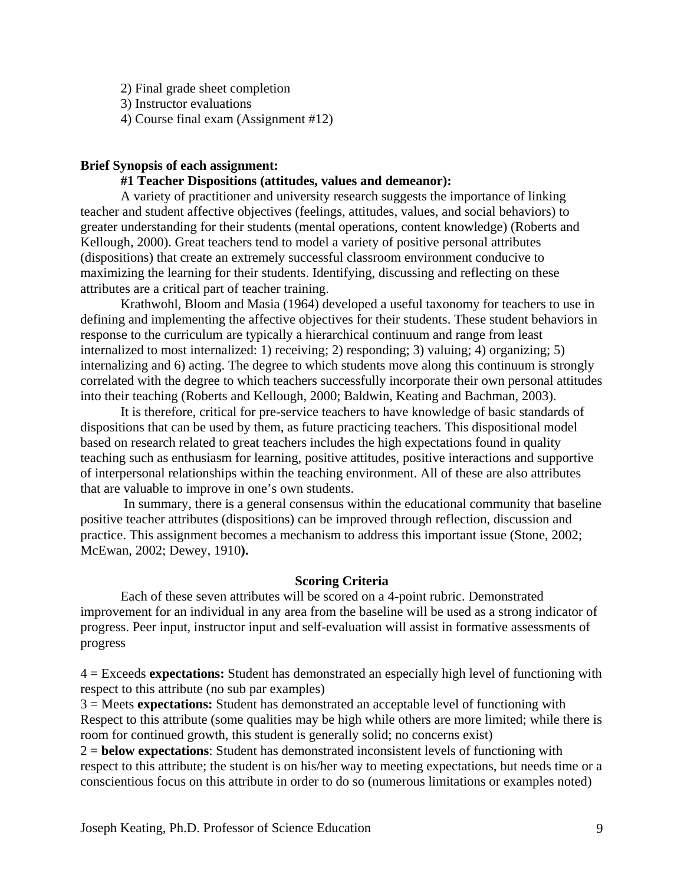2) Final grade sheet completion

3) Instructor evaluations

4) Course final exam (Assignment #12)

#### **Brief Synopsis of each assignment:**

#### **#1 Teacher Dispositions (attitudes, values and demeanor):**

A variety of practitioner and university research suggests the importance of linking teacher and student affective objectives (feelings, attitudes, values, and social behaviors) to greater understanding for their students (mental operations, content knowledge) (Roberts and Kellough, 2000). Great teachers tend to model a variety of positive personal attributes (dispositions) that create an extremely successful classroom environment conducive to maximizing the learning for their students. Identifying, discussing and reflecting on these attributes are a critical part of teacher training.

Krathwohl, Bloom and Masia (1964) developed a useful taxonomy for teachers to use in defining and implementing the affective objectives for their students. These student behaviors in response to the curriculum are typically a hierarchical continuum and range from least internalized to most internalized: 1) receiving; 2) responding; 3) valuing; 4) organizing; 5) internalizing and 6) acting. The degree to which students move along this continuum is strongly correlated with the degree to which teachers successfully incorporate their own personal attitudes into their teaching (Roberts and Kellough, 2000; Baldwin, Keating and Bachman, 2003).

It is therefore, critical for pre-service teachers to have knowledge of basic standards of dispositions that can be used by them, as future practicing teachers. This dispositional model based on research related to great teachers includes the high expectations found in quality teaching such as enthusiasm for learning, positive attitudes, positive interactions and supportive of interpersonal relationships within the teaching environment. All of these are also attributes that are valuable to improve in one's own students.

 In summary, there is a general consensus within the educational community that baseline positive teacher attributes (dispositions) can be improved through reflection, discussion and practice. This assignment becomes a mechanism to address this important issue (Stone, 2002; McEwan, 2002; Dewey, 1910**).** 

#### **Scoring Criteria**

Each of these seven attributes will be scored on a 4-point rubric. Demonstrated improvement for an individual in any area from the baseline will be used as a strong indicator of progress. Peer input, instructor input and self-evaluation will assist in formative assessments of progress

4 = Exceeds **expectations:** Student has demonstrated an especially high level of functioning with respect to this attribute (no sub par examples)

3 = Meets **expectations:** Student has demonstrated an acceptable level of functioning with Respect to this attribute (some qualities may be high while others are more limited; while there is room for continued growth, this student is generally solid; no concerns exist)

2 = **below expectations**: Student has demonstrated inconsistent levels of functioning with respect to this attribute; the student is on his/her way to meeting expectations, but needs time or a conscientious focus on this attribute in order to do so (numerous limitations or examples noted)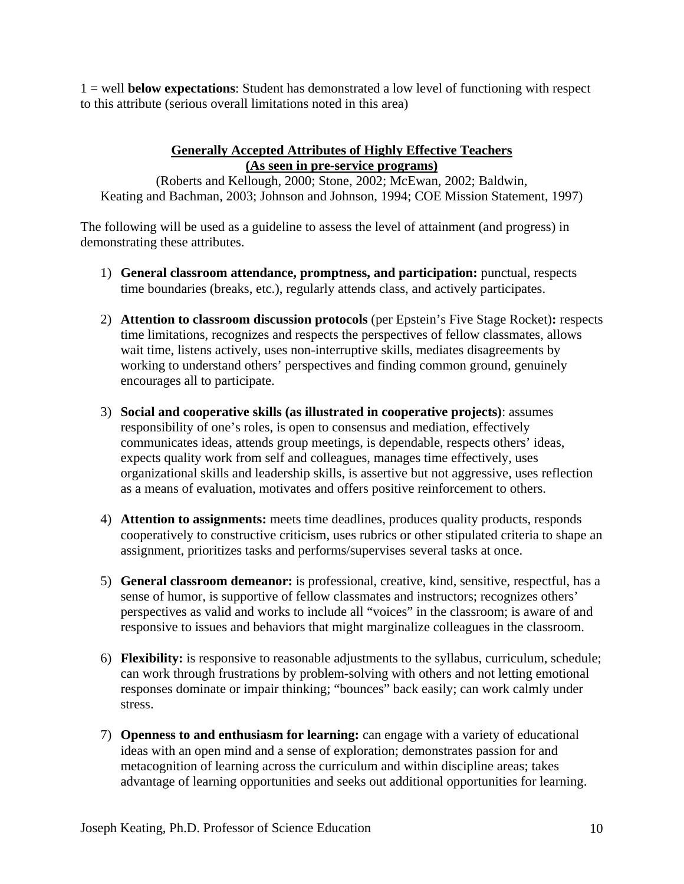1 = well **below expectations**: Student has demonstrated a low level of functioning with respect to this attribute (serious overall limitations noted in this area)

#### **Generally Accepted Attributes of Highly Effective Teachers (As seen in pre-service programs)**

(Roberts and Kellough, 2000; Stone, 2002; McEwan, 2002; Baldwin, Keating and Bachman, 2003; Johnson and Johnson, 1994; COE Mission Statement, 1997)

The following will be used as a guideline to assess the level of attainment (and progress) in demonstrating these attributes.

- 1) **General classroom attendance, promptness, and participation:** punctual, respects time boundaries (breaks, etc.), regularly attends class, and actively participates.
- 2) **Attention to classroom discussion protocols** (per Epstein's Five Stage Rocket)**:** respects time limitations, recognizes and respects the perspectives of fellow classmates, allows wait time, listens actively, uses non-interruptive skills, mediates disagreements by working to understand others' perspectives and finding common ground, genuinely encourages all to participate.
- 3) **Social and cooperative skills (as illustrated in cooperative projects)**: assumes responsibility of one's roles, is open to consensus and mediation, effectively communicates ideas, attends group meetings, is dependable, respects others' ideas, expects quality work from self and colleagues, manages time effectively, uses organizational skills and leadership skills, is assertive but not aggressive, uses reflection as a means of evaluation, motivates and offers positive reinforcement to others.
- 4) **Attention to assignments:** meets time deadlines, produces quality products, responds cooperatively to constructive criticism, uses rubrics or other stipulated criteria to shape an assignment, prioritizes tasks and performs/supervises several tasks at once.
- 5) **General classroom demeanor:** is professional, creative, kind, sensitive, respectful, has a sense of humor, is supportive of fellow classmates and instructors; recognizes others' perspectives as valid and works to include all "voices" in the classroom; is aware of and responsive to issues and behaviors that might marginalize colleagues in the classroom.
- 6) **Flexibility:** is responsive to reasonable adjustments to the syllabus, curriculum, schedule; can work through frustrations by problem-solving with others and not letting emotional responses dominate or impair thinking; "bounces" back easily; can work calmly under stress.
- 7) **Openness to and enthusiasm for learning:** can engage with a variety of educational ideas with an open mind and a sense of exploration; demonstrates passion for and metacognition of learning across the curriculum and within discipline areas; takes advantage of learning opportunities and seeks out additional opportunities for learning.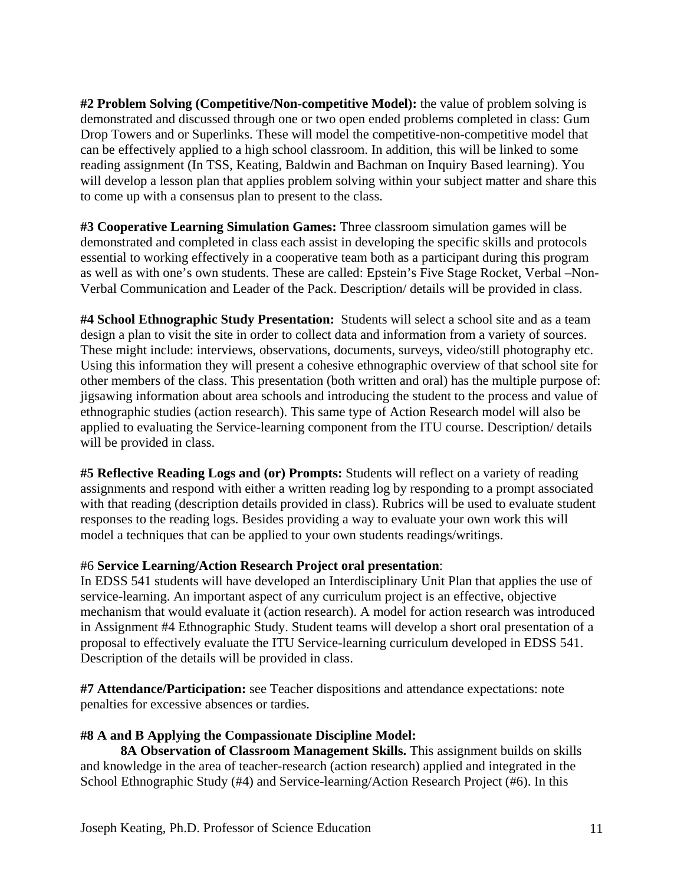**#2 Problem Solving (Competitive/Non-competitive Model):** the value of problem solving is demonstrated and discussed through one or two open ended problems completed in class: Gum Drop Towers and or Superlinks. These will model the competitive-non-competitive model that can be effectively applied to a high school classroom. In addition, this will be linked to some reading assignment (In TSS, Keating, Baldwin and Bachman on Inquiry Based learning). You will develop a lesson plan that applies problem solving within your subject matter and share this to come up with a consensus plan to present to the class.

**#3 Cooperative Learning Simulation Games:** Three classroom simulation games will be demonstrated and completed in class each assist in developing the specific skills and protocols essential to working effectively in a cooperative team both as a participant during this program as well as with one's own students. These are called: Epstein's Five Stage Rocket, Verbal –Non-Verbal Communication and Leader of the Pack. Description/ details will be provided in class.

**#4 School Ethnographic Study Presentation:** Students will select a school site and as a team design a plan to visit the site in order to collect data and information from a variety of sources. These might include: interviews, observations, documents, surveys, video/still photography etc. Using this information they will present a cohesive ethnographic overview of that school site for other members of the class. This presentation (both written and oral) has the multiple purpose of: jigsawing information about area schools and introducing the student to the process and value of ethnographic studies (action research). This same type of Action Research model will also be applied to evaluating the Service-learning component from the ITU course. Description/ details will be provided in class.

**#5 Reflective Reading Logs and (or) Prompts:** Students will reflect on a variety of reading assignments and respond with either a written reading log by responding to a prompt associated with that reading (description details provided in class). Rubrics will be used to evaluate student responses to the reading logs. Besides providing a way to evaluate your own work this will model a techniques that can be applied to your own students readings/writings.

#### #6 **Service Learning/Action Research Project oral presentation**:

In EDSS 541 students will have developed an Interdisciplinary Unit Plan that applies the use of service-learning. An important aspect of any curriculum project is an effective, objective mechanism that would evaluate it (action research). A model for action research was introduced in Assignment #4 Ethnographic Study. Student teams will develop a short oral presentation of a proposal to effectively evaluate the ITU Service-learning curriculum developed in EDSS 541. Description of the details will be provided in class.

**#7 Attendance/Participation:** see Teacher dispositions and attendance expectations: note penalties for excessive absences or tardies.

#### **#8 A and B Applying the Compassionate Discipline Model:**

**8A Observation of Classroom Management Skills.** This assignment builds on skills and knowledge in the area of teacher-research (action research) applied and integrated in the School Ethnographic Study (#4) and Service-learning/Action Research Project (#6). In this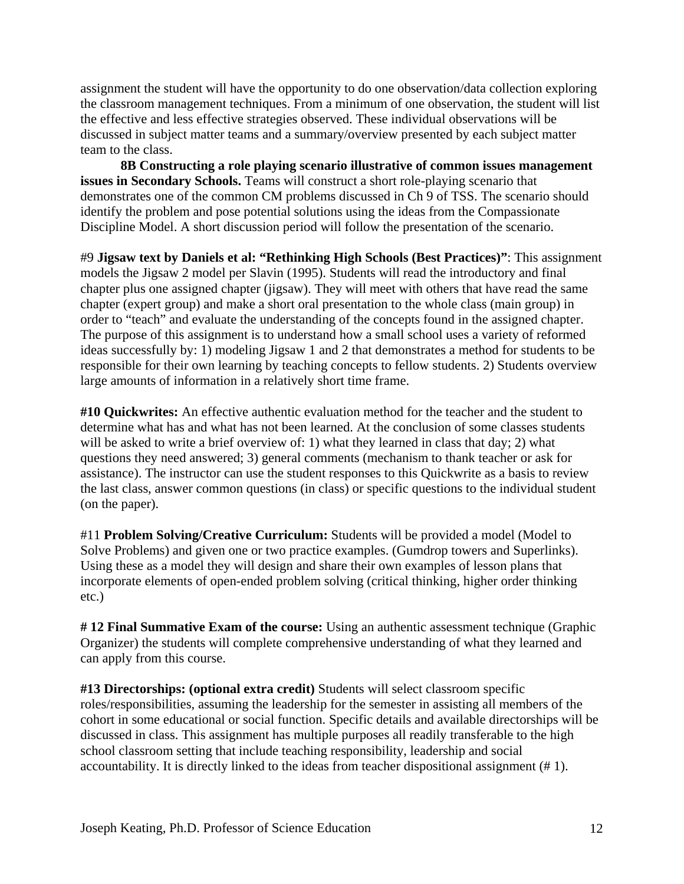assignment the student will have the opportunity to do one observation/data collection exploring the classroom management techniques. From a minimum of one observation, the student will list the effective and less effective strategies observed. These individual observations will be discussed in subject matter teams and a summary/overview presented by each subject matter team to the class.

**8B Constructing a role playing scenario illustrative of common issues management issues in Secondary Schools.** Teams will construct a short role-playing scenario that demonstrates one of the common CM problems discussed in Ch 9 of TSS. The scenario should identify the problem and pose potential solutions using the ideas from the Compassionate Discipline Model. A short discussion period will follow the presentation of the scenario.

#9 **Jigsaw text by Daniels et al: "Rethinking High Schools (Best Practices)"**: This assignment models the Jigsaw 2 model per Slavin (1995). Students will read the introductory and final chapter plus one assigned chapter (jigsaw). They will meet with others that have read the same chapter (expert group) and make a short oral presentation to the whole class (main group) in order to "teach" and evaluate the understanding of the concepts found in the assigned chapter. The purpose of this assignment is to understand how a small school uses a variety of reformed ideas successfully by: 1) modeling Jigsaw 1 and 2 that demonstrates a method for students to be responsible for their own learning by teaching concepts to fellow students. 2) Students overview large amounts of information in a relatively short time frame.

**#10 Quickwrites:** An effective authentic evaluation method for the teacher and the student to determine what has and what has not been learned. At the conclusion of some classes students will be asked to write a brief overview of: 1) what they learned in class that day; 2) what questions they need answered; 3) general comments (mechanism to thank teacher or ask for assistance). The instructor can use the student responses to this Quickwrite as a basis to review the last class, answer common questions (in class) or specific questions to the individual student (on the paper).

#11 **Problem Solving/Creative Curriculum:** Students will be provided a model (Model to Solve Problems) and given one or two practice examples. (Gumdrop towers and Superlinks). Using these as a model they will design and share their own examples of lesson plans that incorporate elements of open-ended problem solving (critical thinking, higher order thinking etc.)

**# 12 Final Summative Exam of the course:** Using an authentic assessment technique (Graphic Organizer) the students will complete comprehensive understanding of what they learned and can apply from this course.

accountability. It is directly linked to the ideas from teacher dispositional assignment (# 1).<br>Joseph Keating, Ph.D. Professor of Science Education 12 **#13 Directorships: (optional extra credit)** Students will select classroom specific roles/responsibilities, assuming the leadership for the semester in assisting all members of the cohort in some educational or social function. Specific details and available directorships will be discussed in class. This assignment has multiple purposes all readily transferable to the high school classroom setting that include teaching responsibility, leadership and social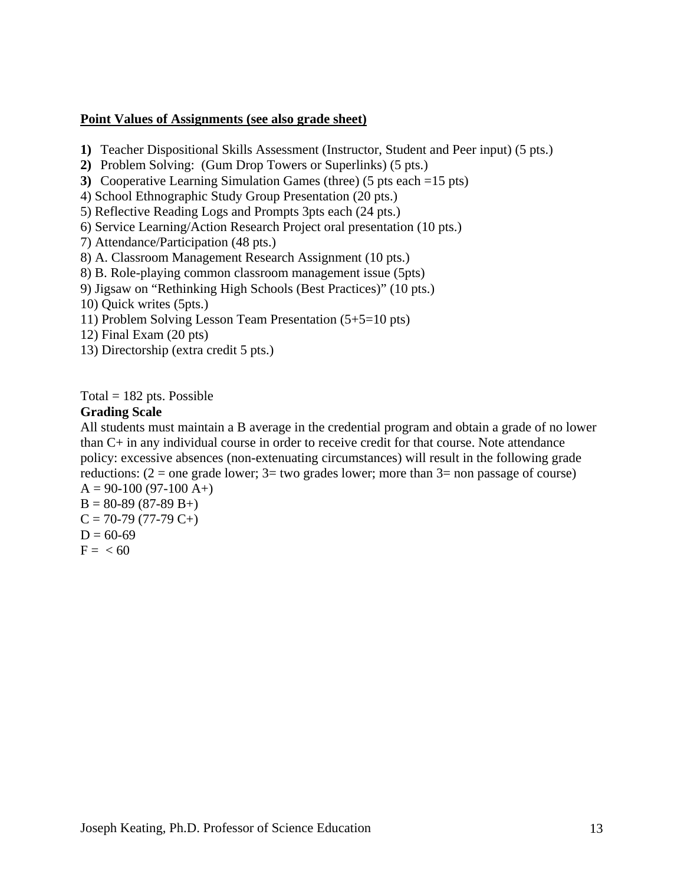#### **Point Values of Assignments (see also grade sheet)**

- **1)** Teacher Dispositional Skills Assessment (Instructor, Student and Peer input) (5 pts.)
- **2)** Problem Solving: (Gum Drop Towers or Superlinks) (5 pts.)
- **3)** Cooperative Learning Simulation Games (three) (5 pts each =15 pts)
- 4) School Ethnographic Study Group Presentation (20 pts.)
- 5) Reflective Reading Logs and Prompts 3pts each (24 pts.)
- 6) Service Learning/Action Research Project oral presentation (10 pts.)
- 7) Attendance/Participation (48 pts.)
- 8) A. Classroom Management Research Assignment (10 pts.)
- 8) B. Role-playing common classroom management issue (5pts)
- 9) Jigsaw on "Rethinking High Schools (Best Practices)" (10 pts.)
- 10) Quick writes (5pts.)
- 11) Problem Solving Lesson Team Presentation (5+5=10 pts)
- 12) Final Exam (20 pts)
- 13) Directorship (extra credit 5 pts.)

Total  $= 182$  pts. Possible

#### **Grading Scale**

All students must maintain a B average in the credential program and obtain a grade of no lower than C+ in any individual course in order to receive credit for that course. Note attendance policy: excessive absences (non-extenuating circumstances) will result in the following grade reductions:  $(2 =$  one grade lower;  $3 =$  two grades lower; more than  $3 =$  non passage of course)  $A = 90-100 (97-100 A+)$ 

 $B = 80-89(87-89 B+ )$  $C = 70-79(77-79 C+)$  $D = 60-69$  $F = < 60$